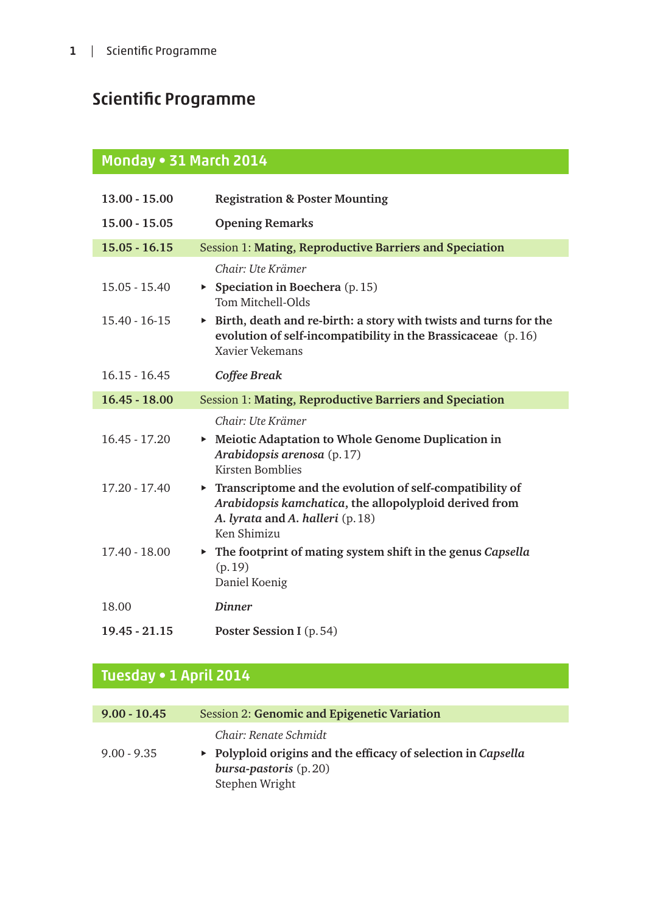# Scientific Programme

#### Monday • 31 March 2014

| $13.00 - 15.00$   | <b>Registration &amp; Poster Mounting</b>                                                                                                                             |
|-------------------|-----------------------------------------------------------------------------------------------------------------------------------------------------------------------|
| $15.00 - 15.05$   | <b>Opening Remarks</b>                                                                                                                                                |
| $15.05 - 16.15$   | <b>Session 1: Mating, Reproductive Barriers and Speciation</b>                                                                                                        |
|                   | Chair: Ute Krämer                                                                                                                                                     |
| $15.05 - 15.40$   | Speciation in Boechera $(p.15)$<br>Tom Mitchell-Olds                                                                                                                  |
| $15.40 - 16 - 15$ | $\triangleright$ Birth, death and re-birth: a story with twists and turns for the<br>evolution of self-incompatibility in the Brassicaceae (p.16)<br>Xavier Vekemans  |
| $16.15 - 16.45$   | Coffee Break                                                                                                                                                          |
| $16.45 - 18.00$   | Session 1: Mating, Reproductive Barriers and Speciation                                                                                                               |
|                   | Chair: Ute Krämer                                                                                                                                                     |
| $16.45 - 17.20$   | ▶ Meiotic Adaptation to Whole Genome Duplication in<br>Arabidopsis arenosa (p.17)<br><b>Kirsten Bomblies</b>                                                          |
| 17.20 - 17.40     | Transcriptome and the evolution of self-compatibility of<br>Arabidopsis kamchatica, the allopolyploid derived from<br>A. lyrata and A. halleri (p. 18)<br>Ken Shimizu |
| 17.40 - 18.00     | $\triangleright$ The footprint of mating system shift in the genus Capsella<br>(p.19)<br>Daniel Koenig                                                                |
| 18.00             | <b>Dinner</b>                                                                                                                                                         |
| $19.45 - 21.15$   | Poster Session I (p. 54)                                                                                                                                              |

### Tuesday • 1 April 2014

| $9.00 - 10.45$ | Session 2: Genomic and Epigenetic Variation                                                                                                        |
|----------------|----------------------------------------------------------------------------------------------------------------------------------------------------|
| $9.00 - 9.35$  | Chair: Renate Schmidt<br>$\triangleright$ Polyploid origins and the efficacy of selection in Capsella<br>bursa-pastoris $(p.20)$<br>Stephen Wright |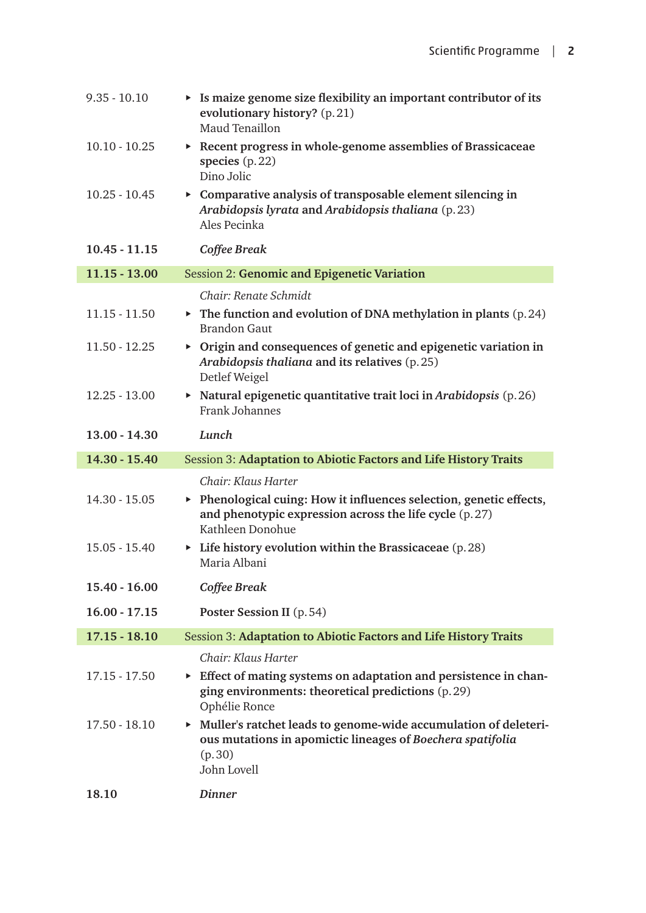| $9.35 - 10.10$  | $\triangleright$ Is maize genome size flexibility an important contributor of its<br>evolutionary history? (p.21)<br>Maud Tenaillon                      |
|-----------------|----------------------------------------------------------------------------------------------------------------------------------------------------------|
| $10.10 - 10.25$ | $\triangleright$ Recent progress in whole-genome assemblies of Brassicaceae<br>species $(p.22)$<br>Dino Jolic                                            |
| $10.25 - 10.45$ | $\triangleright$ Comparative analysis of transposable element silencing in<br>Arabidopsis lyrata and Arabidopsis thaliana (p.23)<br>Ales Pecinka         |
| $10.45 - 11.15$ | Coffee Break                                                                                                                                             |
| $11.15 - 13.00$ | <b>Session 2: Genomic and Epigenetic Variation</b>                                                                                                       |
|                 | Chair: Renate Schmidt                                                                                                                                    |
| $11.15 - 11.50$ | $\triangleright$ The function and evolution of DNA methylation in plants (p. 24)<br><b>Brandon Gaut</b>                                                  |
| $11.50 - 12.25$ | $\triangleright$ Origin and consequences of genetic and epigenetic variation in<br>Arabidopsis thaliana and its relatives (p. 25)<br>Detlef Weigel       |
| $12.25 - 13.00$ | $\triangleright$ Natural epigenetic quantitative trait loci in Arabidopsis (p. 26)<br><b>Frank Johannes</b>                                              |
| 13.00 - 14.30   | Lunch                                                                                                                                                    |
| 14.30 - 15.40   | Session 3: Adaptation to Abiotic Factors and Life History Traits                                                                                         |
|                 | Chair: Klaus Harter                                                                                                                                      |
| 14.30 - 15.05   | ▶ Phenological cuing: How it influences selection, genetic effects,<br>and phenotypic expression across the life cycle (p.27)<br>Kathleen Donohue        |
| 15.05 - 15.40   | $\triangleright$ Life history evolution within the Brassicaceae (p. 28)<br>Maria Albani                                                                  |
| 15.40 - 16.00   | Coffee Break                                                                                                                                             |
| $16.00 - 17.15$ | Poster Session II (p. 54)                                                                                                                                |
| $17.15 - 18.10$ | Session 3: Adaptation to Abiotic Factors and Life History Traits                                                                                         |
|                 | Chair: Klaus Harter                                                                                                                                      |
| $17.15 - 17.50$ | Effect of mating systems on adaptation and persistence in chan-<br>ging environments: theoretical predictions (p.29)<br>Ophélie Ronce                    |
| $17.50 - 18.10$ | • Muller's ratchet leads to genome-wide accumulation of deleteri-<br>ous mutations in apomictic lineages of Boechera spatifolia<br>(p.30)<br>John Lovell |
| 18.10           | <b>Dinner</b>                                                                                                                                            |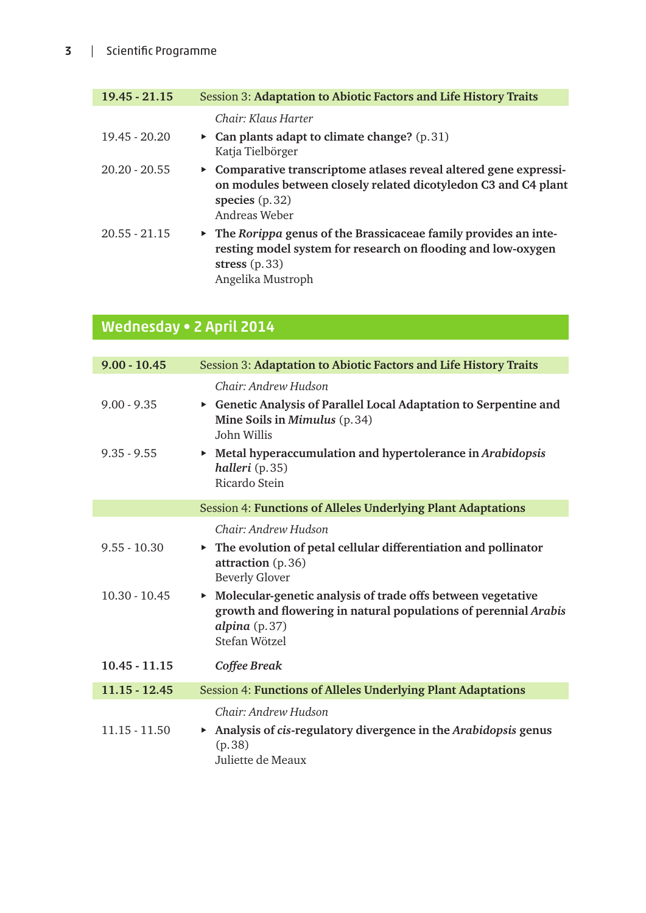| $19.45 - 21.15$ | Session 3: Adaptation to Abiotic Factors and Life History Traits                                                                                                                        |
|-----------------|-----------------------------------------------------------------------------------------------------------------------------------------------------------------------------------------|
|                 | Chair: Klaus Harter                                                                                                                                                                     |
| 19.45 - 20.20   | • Can plants adapt to climate change? $(p.31)$<br>Katja Tielbörger                                                                                                                      |
| $20.20 - 20.55$ | • Comparative transcriptome atlases reveal altered gene expressi-<br>on modules between closely related dicotyledon C3 and C4 plant<br>species $(p.32)$<br>Andreas Weber                |
| $20.55 - 21.15$ | $\triangleright$ The Rorippa genus of the Brassicaceae family provides an inte-<br>resting model system for research on flooding and low-oxygen<br>stress $(p.33)$<br>Angelika Mustroph |

## Wednesday • 2 April 2014

| $9.00 - 10.45$  | Session 3: Adaptation to Abiotic Factors and Life History Traits                                                                                                     |
|-----------------|----------------------------------------------------------------------------------------------------------------------------------------------------------------------|
|                 | Chair: Andrew Hudson                                                                                                                                                 |
| $9.00 - 9.35$   | Genetic Analysis of Parallel Local Adaptation to Serpentine and<br>Mine Soils in Mimulus (p.34)<br>John Willis                                                       |
| $9.35 - 9.55$   | • Metal hyperaccumulation and hypertolerance in Arabidopsis<br>halleri (p.35)<br>Ricardo Stein                                                                       |
|                 | <b>Session 4: Functions of Alleles Underlying Plant Adaptations</b>                                                                                                  |
|                 | Chair: Andrew Hudson                                                                                                                                                 |
| $9.55 - 10.30$  | $\triangleright$ The evolution of petal cellular differentiation and pollinator<br>attraction (p.36)<br><b>Beverly Glover</b>                                        |
| $10.30 - 10.45$ | • Molecular-genetic analysis of trade offs between vegetative<br>growth and flowering in natural populations of perennial Arabis<br>alpina $(p.37)$<br>Stefan Wötzel |
| $10.45 - 11.15$ | Coffee Break                                                                                                                                                         |
| $11.15 - 12.45$ | <b>Session 4: Functions of Alleles Underlying Plant Adaptations</b>                                                                                                  |
| $11.15 - 11.50$ | Chair: Andrew Hudson<br>Analysis of cis-regulatory divergence in the Arabidopsis genus<br>(p.38)<br>Juliette de Meaux                                                |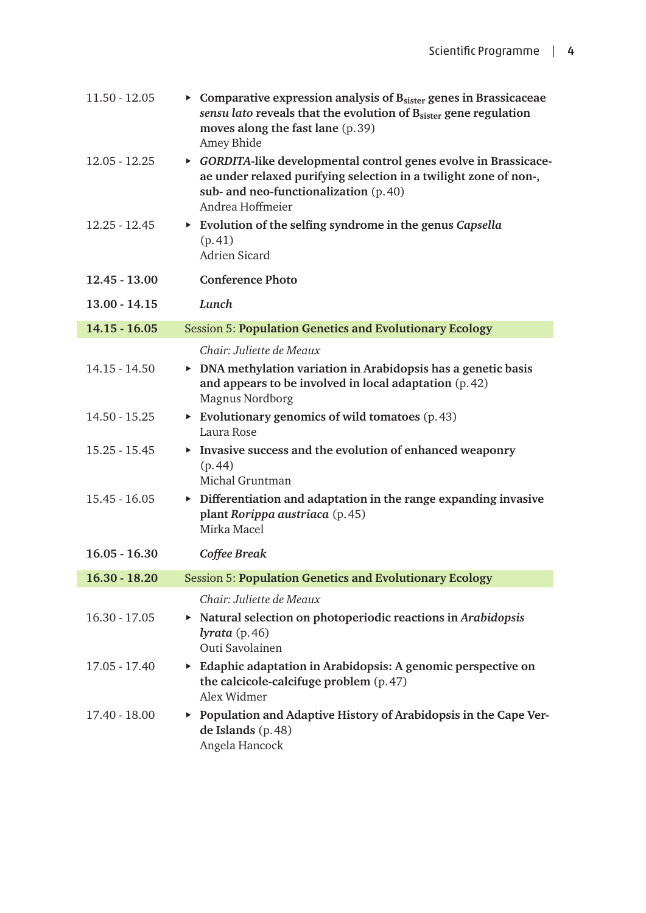| $11.50 - 12.05$ | Comparative expression analysis of $Bsister$ genes in Brassicaceae<br>sensu lato reveals that the evolution of B <sub>sister</sub> gene regulation<br>moves along the fast lane (p.39)<br>Amey Bhide |
|-----------------|------------------------------------------------------------------------------------------------------------------------------------------------------------------------------------------------------|
| $12.05 - 12.25$ | • GORDITA-like developmental control genes evolve in Brassicace-<br>ae under relaxed purifying selection in a twilight zone of non-,<br>sub- and neo-functionalization (p. 40)<br>Andrea Hoffmeier   |
| $12.25 - 12.45$ | Evolution of the selfing syndrome in the genus Capsella<br>(p.41)<br><b>Adrien Sicard</b>                                                                                                            |
| $12.45 - 13.00$ | <b>Conference Photo</b>                                                                                                                                                                              |
| $13.00 - 14.15$ | Lunch                                                                                                                                                                                                |
| $14.15 - 16.05$ | <b>Session 5: Population Genetics and Evolutionary Ecology</b>                                                                                                                                       |
|                 | Chair: Juliette de Meaux                                                                                                                                                                             |
| $14.15 - 14.50$ | $\triangleright$ DNA methylation variation in Arabidopsis has a genetic basis<br>and appears to be involved in local adaptation (p. 42)<br><b>Magnus Nordborg</b>                                    |
| 14.50 - 15.25   | Evolutionary genomics of wild tomatoes $(p.43)$<br>Laura Rose                                                                                                                                        |
| $15.25 - 15.45$ | $\triangleright$ Invasive success and the evolution of enhanced weaponry<br>(p.44)<br>Michal Gruntman                                                                                                |
| $15.45 - 16.05$ | $\triangleright$ Differentiation and adaptation in the range expanding invasive<br>plant Rorippa austriaca (p. 45)<br>Mirka Macel                                                                    |
| $16.05 - 16.30$ | Coffee Break                                                                                                                                                                                         |
|                 | 16.30 - 18.20 Session 5: Population Genetics and Evolutionary Ecology                                                                                                                                |
|                 | Chair: Juliette de Meaux                                                                                                                                                                             |
| $16.30 - 17.05$ | $\triangleright$ Natural selection on photoperiodic reactions in Arabidopsis<br>$lyrata$ (p. 46)<br>Outi Savolainen                                                                                  |
| $17.05 - 17.40$ | Edaphic adaptation in Arabidopsis: A genomic perspective on<br>the calcicole-calcifuge problem (p. 47)<br>Alex Widmer                                                                                |
| 17.40 - 18.00   | ▶ Population and Adaptive History of Arabidopsis in the Cape Ver-<br>de Islands (p. 48)<br>Angela Hancock                                                                                            |